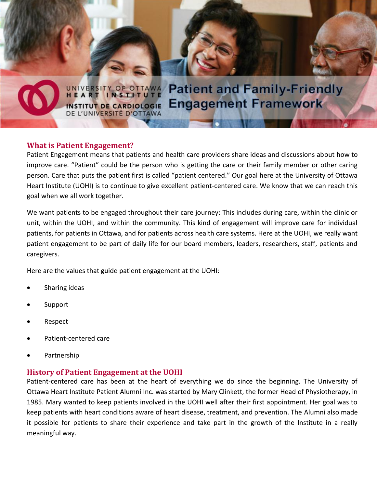

UNIVERSITY OF OTTAWA **Patient and Family-Friendly Engagement Framework INSTITUT DE CARDIOLOGIE** DE L'UNIVERSITÉ D'OTTAWA

### **What is Patient Engagement?**

Patient Engagement means that patients and health care providers share ideas and discussions about how to improve care. "Patient" could be the person who is getting the care or their family member or other caring person. Care that puts the patient first is called "patient centered." Our goal here at the University of Ottawa Heart Institute (UOHI) is to continue to give excellent patient-centered care. We know that we can reach this goal when we all work together.

We want patients to be engaged throughout their care journey: This includes during care, within the clinic or unit, within the UOHI, and within the community. This kind of engagement will improve care for individual patients, for patients in Ottawa, and for patients across health care systems. Here at the UOHI, we really want patient engagement to be part of daily life for our board members, leaders, researchers, staff, patients and caregivers.

Here are the values that guide patient engagement at the UOHI:

- Sharing ideas
- Support
- Respect
- Patient-centered care
- Partnership

### **History of Patient Engagement at the UOHI**

Patient-centered care has been at the heart of everything we do since the beginning. The University of Ottawa Heart Institute Patient Alumni Inc. was started by Mary Clinkett, the former Head of Physiotherapy, in 1985. Mary wanted to keep patients involved in the UOHI well after their first appointment. Her goal was to keep patients with heart conditions aware of heart disease, treatment, and prevention. The Alumni also made it possible for patients to share their experience and take part in the growth of the Institute in a really meaningful way.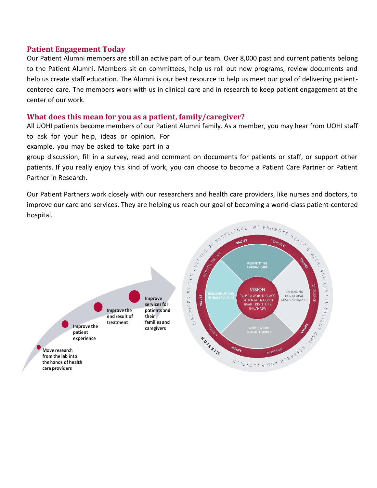### **Patient Engagement Today**

Our Patient Alumni members are still an active part of our team. Over 8,000 past and current patients belong to the Patient Alumni. Members sit on committees, help us roll out new programs, review documents and help us create staff education. The Alumni is our best resource to help us meet our goal of delivering patientcentered care. The members work with us in clinical care and in research to keep patient engagement at the center of our work.

### **What does this mean for you as a patient, family/caregiver?**

All UOHI patients become members of our Patient Alumni family. As a member, you may hear from UOHI staff to ask for your help, ideas or opinion. For

example, you may be asked to take part in a

group discussion, fill in a survey, read and comment on documents for patients or staff, or support other patients. If you really enjoy this kind of work, you can choose to become a Patient Care Partner or Patient Partner in Research.

Our Patient Partners work closely with our researchers and health care providers, like nurses and doctors, to improve our care and services. They are helping us reach our goal of becoming a world-class patient-centered hospital.

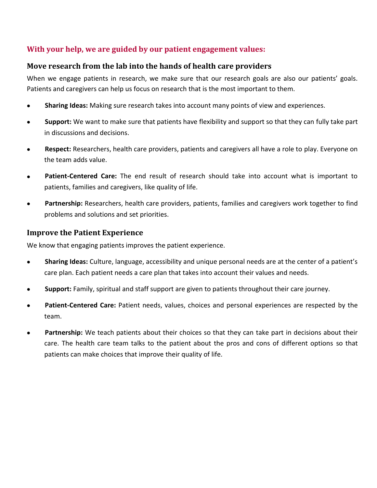# **With your help, we are guided by our patient engagement values:**

# **Move research from the lab into the hands of health care providers**

When we engage patients in research, we make sure that our research goals are also our patients' goals. Patients and caregivers can help us focus on research that is the most important to them.

- **Sharing Ideas:** Making sure research takes into account many points of view and experiences.
- **Support:** We want to make sure that patients have flexibility and support so that they can fully take part in discussions and decisions.
- **Respect:** Researchers, health care providers, patients and caregivers all have a role to play. Everyone on the team adds value.
- **Patient-Centered Care:** The end result of research should take into account what is important to patients, families and caregivers, like quality of life.
- Partnership: Researchers, health care providers, patients, families and caregivers work together to find problems and solutions and set priorities.

## **Improve the Patient Experience**

We know that engaging patients improves the patient experience.

- **Sharing Ideas:** Culture, language, accessibility and unique personal needs are at the center of a patient's care plan. Each patient needs a care plan that takes into account their values and needs.
- **Support:** Family, spiritual and staff support are given to patients throughout their care journey.
- **Patient-Centered Care:** Patient needs, values, choices and personal experiences are respected by the team.
- **Partnership:** We teach patients about their choices so that they can take part in decisions about their care. The health care team talks to the patient about the pros and cons of different options so that patients can make choices that improve their quality of life.